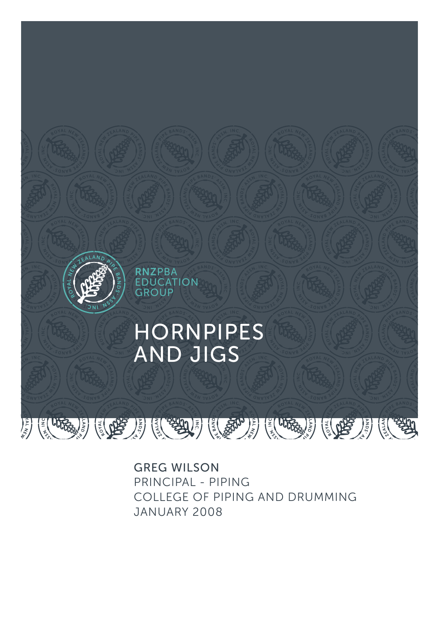

GREG WILSON PRINCIPAL - PIPING COLLEGE OF PIPING AND DRUMMING JANUARY 2008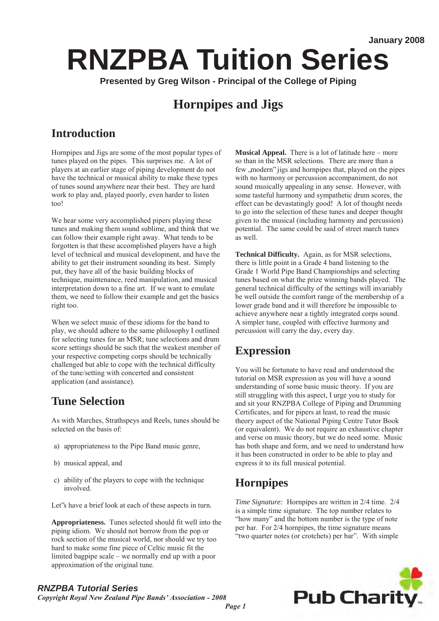# **RNZPBA Tuition Series**

**Presented by Greg Wilson - Principal of the College of Piping** 

## **Hornpipes and Jigs**

## **Introduction**

Hornpipes and Jigs are some of the most popular types of tunes played on the pipes. This surprises me. A lot of players at an earlier stage of piping development do not have the technical or musical ability to make these types of tunes sound anywhere near their best. They are hard work to play and, played poorly, even harder to listen too!

We hear some very accomplished pipers playing these tunes and making them sound sublime, and think that we can follow their example right away. What tends to be forgotten is that these accomplished players have a high level of technical and musical development, and have the ability to get their instrument sounding its best. Simply put, they have all of the basic building blocks of technique, maintenance, reed manipulation, and musical interpretation down to a fine art. If we want to emulate them, we need to follow their example and get the basics right too.

When we select music of these idioms for the band to play, we should adhere to the same philosophy I outlined for selecting tunes for an MSR; tune selections and drum score settings should be such that the weakest member of your respective competing corps should be technically challenged but able to cope with the technical difficulty of the tune/setting with concerted and consistent application (and assistance).

### **Tune Selection**

As with Marches, Strathspeys and Reels, tunes should be selected on the basis of:

- a) appropriateness to the Pipe Band music genre,
- b) musical appeal, and
- c) ability of the players to cope with the technique involved.

Let's have a brief look at each of these aspects in turn.

**Appropriateness.** Tunes selected should fit well into the piping idiom. We should not borrow from the pop or rock section of the musical world, nor should we try too hard to make some fine piece of Celtic music fit the limited bagpipe scale – we normally end up with a poor approximation of the original tune.

**Musical Appeal.** There is a lot of latitude here – more so than in the MSR selections. There are more than a few , modern" jigs and hornpipes that, played on the pipes with no harmony or percussion accompaniment, do not sound musically appealing in any sense. However, with some tasteful harmony and sympathetic drum scores, the effect can be devastatingly good! A lot of thought needs to go into the selection of these tunes and deeper thought given to the musical (including harmony and percussion) potential. The same could be said of street march tunes as well.

**Technical Difficulty.** Again, as for MSR selections, there is little point in a Grade 4 band listening to the Grade 1 World Pipe Band Championships and selecting tunes based on what the prize winning bands played. The general technical difficulty of the settings will invariably be well outside the comfort range of the membership of a lower grade band and it will therefore be impossible to achieve anywhere near a tightly integrated corps sound. A simpler tune, coupled with effective harmony and percussion will carry the day, every day.

### **Expression**

You will be fortunate to have read and understood the tutorial on MSR expression as you will have a sound understanding of some basic music theory. If you are still struggling with this aspect, I urge you to study for and sit your RNZPBA College of Piping and Drumming Certificates, and for pipers at least, to read the music theory aspect of the National Piping Centre Tutor Book (or equivalent). We do not require an exhaustive chapter and verse on music theory, but we do need some. Music has both shape and form, and we need to understand how it has been constructed in order to be able to play and express it to its full musical potential.

## **Hornpipes**

*Time Signature:* Hornpipes are written in 2/4 time. 2/4 is a simple time signature. The top number relates to "how many" and the bottom number is the type of note per bar. For 2/4 hornpipes, the time signature means "two quarter notes (or crotchets) per bar". With simple



#### *RNZPBA Tutorial Series*

*Copyright Royal New Zealand Pipe Bands' Association - 2008*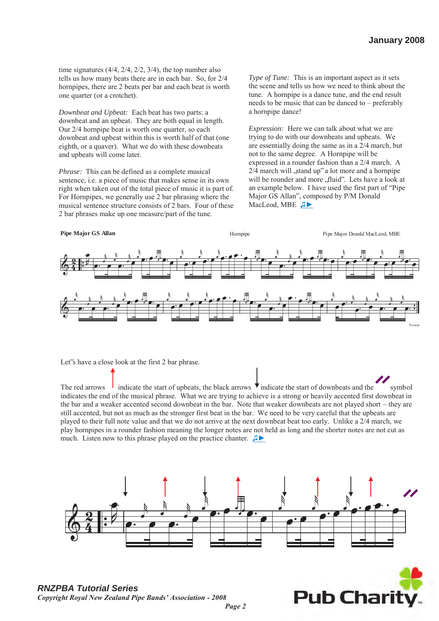time signatures  $(4/4, 2/4, 2/2, 3/4)$ , the top number also tells us how many beats there are in each bar. So, for 2/4 hornpipes, there are 2 beats per bar and each beat is worth one quarter (or a crotchet).

*Downbeat and Upbeat:* Each beat has two parts: a downbeat and an upbeat. They are both equal in length. Our 2/4 hornpipe beat is worth one quarter, so each downbeat and upbeat within this is worth half of that (one eighth, or a quaver). What we do with these downbeats and upbeats will come later.

*Phrase:* This can be defined as a complete musical sentence, i.e. a piece of music that makes sense in its own right when taken out of the total piece of music it is part of. For Hornpipes, we generally use 2 bar phrasing where the musical sentence structure consists of 2 bars. Four of these 2 bar phrases make up one measure/part of the tune.

*Type of Tune:* This is an important aspect as it sets the scene and tells us how we need to think about the tune. A hornpipe is a dance tune, and the end result needs to be music that can be danced to – preferably a hornpipe dance!

*Expression:* Here we can talk about what we are trying to do with our downbeats and upbeats. We are essentially doing the same as in a 2/4 march, but not to the same degree. A Hornpipe will be expressed in a rounder fashion than a 2/4 march. A  $2/4$  march will , stand up" a lot more and a hornpipe will be rounder and more , fluid". Lets have a look at an example below. I have used the first part of "Pipe Major GS Allan", composed by P/M Donald MacLeod, MBE J



Let"s have a close look at the first 2 bar phrase.

The red arrows indicate the start of upbeats, the black arrows  $\overrightarrow{v}$  indicate the start of downbeats and the symbol indicates the end of the musical phrase. What we are trying to achieve is a strong or heavily accented first downbeat in the bar and a weaker accented second downbeat in the bar. Note that weaker downbeats are not played short – they are still accented, but not as much as the stronger first beat in the bar. We need to be very careful that the upbeats are played to their full note value and that we do not arrive at the next downbeat beat too early. Unlike a 2/4 march, we play hornpipes in a rounder fashion meaning the longer notes are not held as long and the shorter notes are not cut as much. Listen now to this phrase played on the practice chanter. ♫►



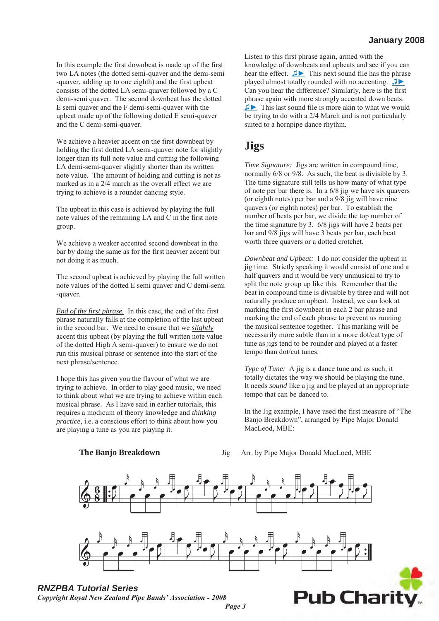In this example the first downbeat is made up of the first two LA notes (the dotted semi-quaver and the demi-semi -quaver, adding up to one eighth) and the first upbeat consists of the dotted LA semi-quaver followed by a C demi-semi quaver. The second downbeat has the dotted E semi quaver and the F demi-semi-quaver with the upbeat made up of the following dotted E semi-quaver and the C demi-semi-quaver.

We achieve a heavier accent on the first downbeat by holding the first dotted LA semi-quaver note for slightly longer than its full note value and cutting the following LA demi-semi-quaver slightly shorter than its written note value. The amount of holding and cutting is not as marked as in a 2/4 march as the overall effect we are trying to achieve is a rounder dancing style.

The upbeat in this case is achieved by playing the full note values of the remaining LA and C in the first note group.

We achieve a weaker accented second downbeat in the bar by doing the same as for the first heavier accent but not doing it as much.

The second upbeat is achieved by playing the full written note values of the dotted E semi quaver and C demi-semi -quaver.

*End of the first phrase.* In this case, the end of the first phrase naturally falls at the completion of the last upbeat in the second bar. We need to ensure that we *slightly*  accent this upbeat (by playing the full written note value of the dotted High A semi-quaver) to ensure we do not run this musical phrase or sentence into the start of the next phrase/sentence.

I hope this has given you the flavour of what we are trying to achieve. In order to play good music, we need to think about what we are trying to achieve within each musical phrase. As I have said in earlier tutorials, this requires a modicum of theory knowledge and *thinking practice*, i.e. a conscious effort to think about how you are playing a tune as you are playing it. 2, i.e. a conscious effort to think about how you<br>
ing a tune as you are playing it.<br> **The Banjo Breakdown** Jig Arr. by Pipe Major Donald MacLoed, MBE<br> **The Banjo Breakdown** Jig Arr. by Pipe Major Donald MacLoed, MBE

Listen to this first phrase again, armed with the knowledge of downbeats and upbeats and see if you can hear the effect. [♫►](file:///C:\Documents%20and%20Settings\Work\Local%20Settings\Temporary%20Internet%20Files\OLK5F\Hornpipe%201st%20Phrase.WAV) This next sound file has the phrase played almost totally rounded with no accenting. [♫►](file:///C:\Documents%20and%20Settings\Work\Local%20Settings\Temporary%20Internet%20Files\OLK5F\Hornpipe%20No%20Expression.WAV)  Can you hear the difference? Similarly, here is the first phrase again with more strongly accented down beats. [♫►](file:///C:\Documents%20and%20Settings\Work\Local%20Settings\Temporary%20Internet%20Files\OLK5F\Hornpipe%20dot%20cut.WAV) This last sound file is more akin to what we would be trying to do with a 2/4 March and is not particularly suited to a hornpipe dance rhythm.

#### **Jigs**

*Time Signature:* Jigs are written in compound time, normally 6/8 or 9/8. As such, the beat is divisible by 3. The time signature still tells us how many of what type of note per bar there is. In a 6/8 jig we have six quavers (or eighth notes) per bar and a 9/8 jig will have nine quavers (or eighth notes) per bar. To establish the number of beats per bar, we divide the top number of the time signature by 3. 6/8 jigs will have 2 beats per bar and 9/8 jigs will have 3 beats per bar, each beat worth three quavers or a dotted crotchet.

*Downbeat and Upbeat:* I do not consider the upbeat in jig time. Strictly speaking it would consist of one and a half quavers and it would be very unmusical to try to split the note group up like this. Remember that the beat in compound time is divisible by three and will not naturally produce an upbeat. Instead, we can look at marking the first downbeat in each 2 bar phrase and marking the end of each phrase to prevent us running the musical sentence together. This marking will be necessarily more subtle than in a more dot/cut type of tune as jigs tend to be rounder and played at a faster tempo than dot/cut tunes. ext in this case is achieved by playing the full<br>unumber of beat spr tor, we divide the top number of<br>so of the remaining I.A and C in the first noite<br>unumber of beat spr tor, we divide the top number of<br>the time signatur the full<br>the full<br>that is quarkers (or eighth notes) per bar. To establish the<br>number of beats per bar, we divide the top number of<br>the time signature by 3. 6/8 jigs will have 2 beats per<br>that the model of signation the d ghth notes) per bar. To establish the<br>stape bar, we divide the top number of<br>stape bar, we divide the top number of<br>statte by 3. ( $/8$  jigs will have 2 beats per<br>specified and the speaking it would consist of one and a<br>di

*Type of Tune:* A jig is a dance tune and as such, it totally dictates the way we should be playing the tune. It needs *sound* like a jig and be played at an appropriate tempo that can be danced to.

In the Jig example, I have used the first measure of "The Banjo Breakdown", arranged by Pipe Major Donald MacLeod, MBE:



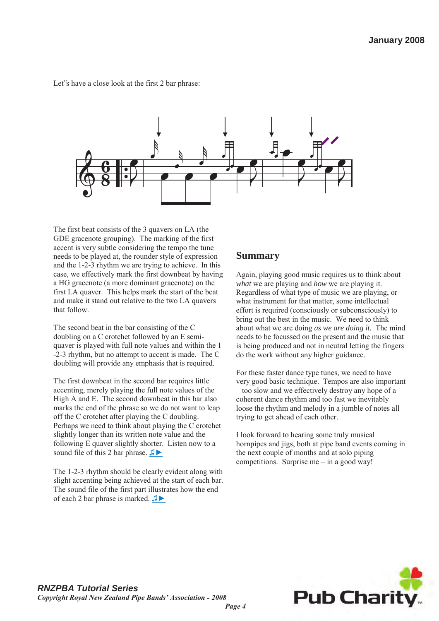Let"s have a close look at the first 2 bar phrase:



The first beat consists of the 3 quavers on LA (the GDE gracenote grouping). The marking of the first accent is very subtle considering the tempo the tune needs to be played at, the rounder style of expression and the 1-2-3 rhythm we are trying to achieve. In this case, we effectively mark the first downbeat by having a HG gracenote (a more dominant gracenote) on the first LA quaver. This helps mark the start of the beat and make it stand out relative to the two LA quavers that follow.

The second beat in the bar consisting of the C doubling on a C crotchet followed by an E semiquaver is played with full note values and within the 1 -2-3 rhythm, but no attempt to accent is made. The C doubling will provide any emphasis that is required.

The first downbeat in the second bar requires little accenting, merely playing the full note values of the High A and E. The second downbeat in this bar also marks the end of the phrase so we do not want to leap off the C crotchet after playing the C doubling. Perhaps we need to think about playing the C crotchet slightly longer than its written note value and the following E quaver slightly shorter. Listen now to a sound file of this 2 bar phrase. **<del>Ⅰ▶</del>** 

The 1-2-3 rhythm should be clearly evident along with slight accenting being achieved at the start of each bar. The sound file of the first part illustrates how the end of each 2 bar phrase is marked. [♫►](file:///C:\Documents%20and%20Settings\Work\Local%20Settings\Temporary%20Internet%20Files\OLK5F\Jig%201st%20part.WAV)

#### **Summary**

Again, playing good music requires us to think about *what* we are playing and *how* we are playing it. Regardless of what type of music we are playing, or what instrument for that matter, some intellectual effort is required (consciously or subconsciously) to bring out the best in the music. We need to think about what we are doing *as we are doing it.* The mind needs to be focussed on the present and the music that is being produced and not in neutral letting the fingers do the work without any higher guidance.

For these faster dance type tunes, we need to have very good basic technique. Tempos are also important – too slow and we effectively destroy any hope of a coherent dance rhythm and too fast we inevitably loose the rhythm and melody in a jumble of notes all trying to get ahead of each other.

I look forward to hearing some truly musical hornpipes and jigs, both at pipe band events coming in the next couple of months and at solo piping competitions. Surprise me – in a good way!